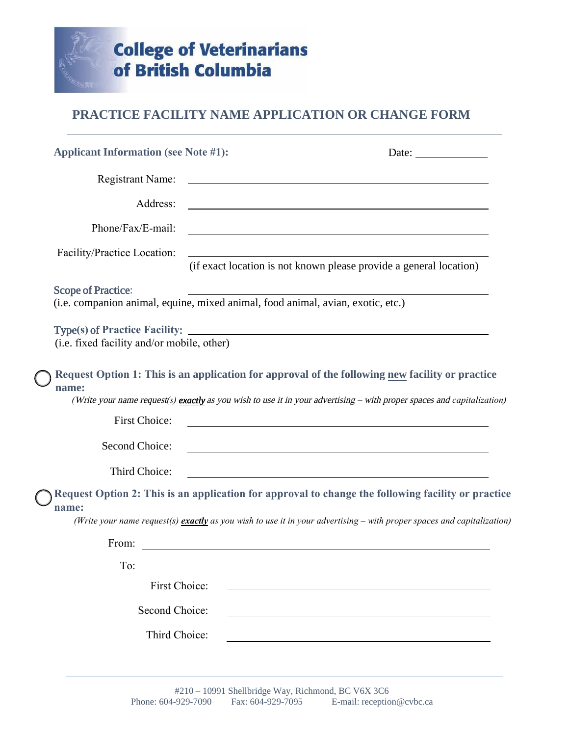

## **PRACTICE FACILITY NAME APPLICATION OR CHANGE FORM**

| <b>Applicant Information (see Note #1):</b> | Date: $\_\_$                                                                                                                                                                                                              |
|---------------------------------------------|---------------------------------------------------------------------------------------------------------------------------------------------------------------------------------------------------------------------------|
| <b>Registrant Name:</b>                     |                                                                                                                                                                                                                           |
| Address:                                    | <u> 1989 - Johann Barn, mars eta bainar eta bainar eta baina eta baina eta baina eta baina eta baina eta baina e</u>                                                                                                      |
| Phone/Fax/E-mail:                           | and the control of the control of the control of the control of the control of the control of the control of the                                                                                                          |
| Facility/Practice Location:                 | <u> 1989 - Johann Stoff, deutscher Stoffen und der Stoffen und der Stoffen und der Stoffen und der Stoffen und der</u><br>(if exact location is not known please provide a general location)                              |
| <b>Scope of Practice:</b>                   | (i.e. companion animal, equine, mixed animal, food animal, avian, exotic, etc.)                                                                                                                                           |
| (i.e. fixed facility and/or mobile, other)  |                                                                                                                                                                                                                           |
| name:                                       | Request Option 1: This is an application for approval of the following new facility or practice<br>(Write your name request(s) exactly as you wish to use it in your advertising – with proper spaces and capitalization) |
| First Choice:                               |                                                                                                                                                                                                                           |
| Second Choice:                              |                                                                                                                                                                                                                           |
| Third Choice:                               |                                                                                                                                                                                                                           |
| name:                                       | Request Option 2: This is an application for approval to change the following facility or practice                                                                                                                        |
|                                             | (Write your name request(s) exactly as you wish to use it in your advertising – with proper spaces and capitalization)                                                                                                    |
| From:                                       |                                                                                                                                                                                                                           |
| To:                                         |                                                                                                                                                                                                                           |
| First Choice:                               |                                                                                                                                                                                                                           |
| Second Choice:                              |                                                                                                                                                                                                                           |
| Third Choice:                               |                                                                                                                                                                                                                           |